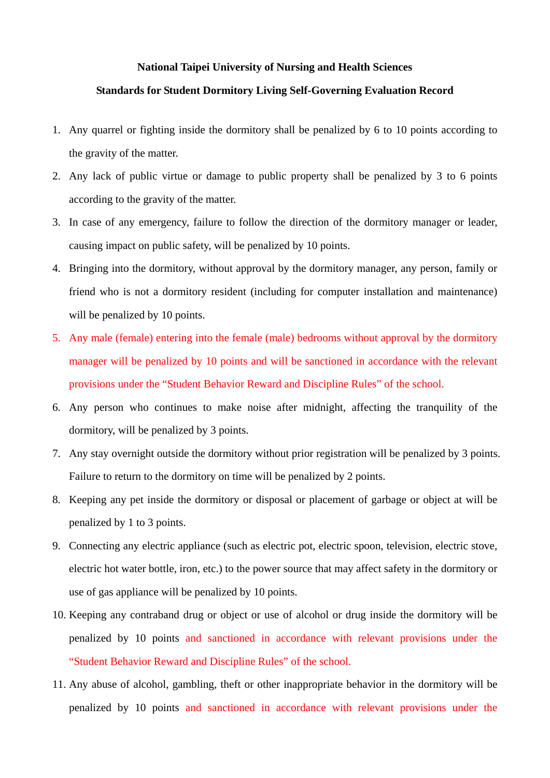## **National Taipei University of Nursing and Health Sciences**

## **Standards for Student Dormitory Living Self-Governing Evaluation Record**

- 1. Any quarrel or fighting inside the dormitory shall be penalized by 6 to 10 points according to the gravity of the matter.
- 2. Any lack of public virtue or damage to public property shall be penalized by 3 to 6 points according to the gravity of the matter.
- 3. In case of any emergency, failure to follow the direction of the dormitory manager or leader, causing impact on public safety, will be penalized by 10 points.
- 4. Bringing into the dormitory, without approval by the dormitory manager, any person, family or friend who is not a dormitory resident (including for computer installation and maintenance) will be penalized by 10 points.
- 5. Any male (female) entering into the female (male) bedrooms without approval by the dormitory manager will be penalized by 10 points and will be sanctioned in accordance with the relevant provisions under the "Student Behavior Reward and Discipline Rules" of the school.
- 6. Any person who continues to make noise after midnight, affecting the tranquility of the dormitory, will be penalized by 3 points.
- 7. Any stay overnight outside the dormitory without prior registration will be penalized by 3 points. Failure to return to the dormitory on time will be penalized by 2 points.
- 8. Keeping any pet inside the dormitory or disposal or placement of garbage or object at will be penalized by 1 to 3 points.
- 9. Connecting any electric appliance (such as electric pot, electric spoon, television, electric stove, electric hot water bottle, iron, etc.) to the power source that may affect safety in the dormitory or use of gas appliance will be penalized by 10 points.
- 10. Keeping any contraband drug or object or use of alcohol or drug inside the dormitory will be penalized by 10 points and sanctioned in accordance with relevant provisions under the "Student Behavior Reward and Discipline Rules" of the school.
- 11. Any abuse of alcohol, gambling, theft or other inappropriate behavior in the dormitory will be penalized by 10 points and sanctioned in accordance with relevant provisions under the